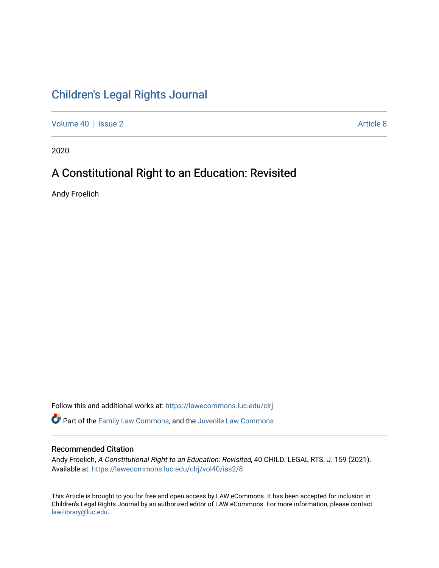# [Children's Legal Rights Journal](https://lawecommons.luc.edu/clrj)

[Volume 40](https://lawecommons.luc.edu/clrj/vol40) | [Issue 2](https://lawecommons.luc.edu/clrj/vol40/iss2) Article 8

2020

# A Constitutional Right to an Education: Revisited

Andy Froelich

Follow this and additional works at: [https://lawecommons.luc.edu/clrj](https://lawecommons.luc.edu/clrj?utm_source=lawecommons.luc.edu%2Fclrj%2Fvol40%2Fiss2%2F8&utm_medium=PDF&utm_campaign=PDFCoverPages)

Part of the [Family Law Commons,](http://network.bepress.com/hgg/discipline/602?utm_source=lawecommons.luc.edu%2Fclrj%2Fvol40%2Fiss2%2F8&utm_medium=PDF&utm_campaign=PDFCoverPages) and the [Juvenile Law Commons](http://network.bepress.com/hgg/discipline/851?utm_source=lawecommons.luc.edu%2Fclrj%2Fvol40%2Fiss2%2F8&utm_medium=PDF&utm_campaign=PDFCoverPages) 

#### Recommended Citation

Andy Froelich, A Constitutional Right to an Education: Revisited, 40 CHILD. LEGAL RTS. J. 159 (2021). Available at: [https://lawecommons.luc.edu/clrj/vol40/iss2/8](https://lawecommons.luc.edu/clrj/vol40/iss2/8?utm_source=lawecommons.luc.edu%2Fclrj%2Fvol40%2Fiss2%2F8&utm_medium=PDF&utm_campaign=PDFCoverPages) 

This Article is brought to you for free and open access by LAW eCommons. It has been accepted for inclusion in Children's Legal Rights Journal by an authorized editor of LAW eCommons. For more information, please contact [law-library@luc.edu](mailto:law-library@luc.edu).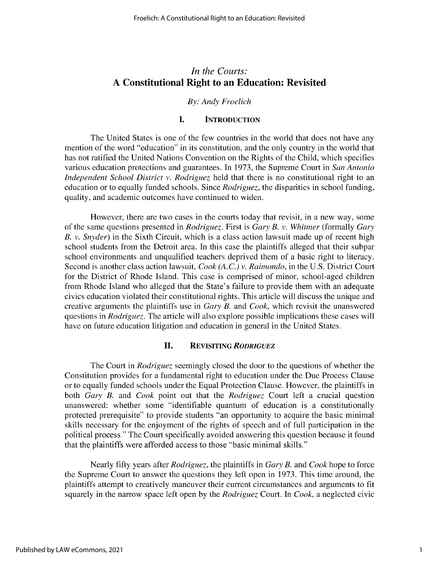# *In the Courts:* **A Constitutional Right to an Education: Revisited**

#### *By: Andy Froelich*

## **I. INTRODUCTION**

The United States is one of the few countries in the world that does not have any mention of the word "education" in its constitution, and the only country in the world that has not ratified the United Nations Convention on the Rights of the Child, which specifies various education protections and guarantees. In 1973, the Supreme Court in *San Antonio Independent School District v. Rodriguez* held that there is no constitutional right to an education or to equally funded schools. Since *Rodriguez,* the disparities in school funding, quality, and academic outcomes have continued to widen.

However, there are two cases in the courts today that revisit, in a new way, some of the same questions presented in *Rodriguez.* First is *Gary B. v. Whitmer* (formally *Gary B. v. Snyder)* in the Sixth Circuit, which is a class action lawsuit made up of recent high school students from the Detroit area. In this case the plaintiffs alleged that their subpar school environments and unqualified teachers deprived them of a basic right to literacy. Second is another class action lawsuit, *Cook (A.C.) v. Raimondo,* in the U.S. District Court for the District of Rhode Island. This case is comprised of minor, school-aged children from Rhode Island who alleged that the State's failure to provide them with an adequate civics education violated their constitutional rights. This article will discuss the unique and creative arguments the plaintiffs use in *Gary B.* and *Cook,* which revisit the unanswered questions in *Rodriguez.* The article will also explore possible implications these cases will have on future education litigation and education in general in the United States.

#### **II. REVISITING** *RODRIGUEZ*

The Court in *Rodriguez* seemingly closed the door to the questions of whether the Constitution provides for a fundamental right to education under the Due Process Clause or to equally funded schools under the Equal Protection Clause. However, the plaintiffs in both *Gary B.* and *Cook* point out that the *Rodriguez* Court left a crucial question unanswered: whether some "identifiable quantum of education is a constitutionally protected prerequisite" to provide students "an opportunity to acquire the basic minimal skills necessary for the enjoyment of the rights of speech and of full participation in the political process." The Court specifically avoided answering this question because it found that the plaintiffs were afforded access to those "basic minimal skills."

Nearly fifty years after *Rodriguez,* the plaintiffs in *Gary B.* and *Cook* hope to force the Supreme Court to answer the questions they left open in 1973. This time around, the plaintiffs attempt to creatively maneuver their current circumstances and arguments to fit squarely in the narrow space left open by the *Rodriguez* Court. In *Cook,* a neglected civic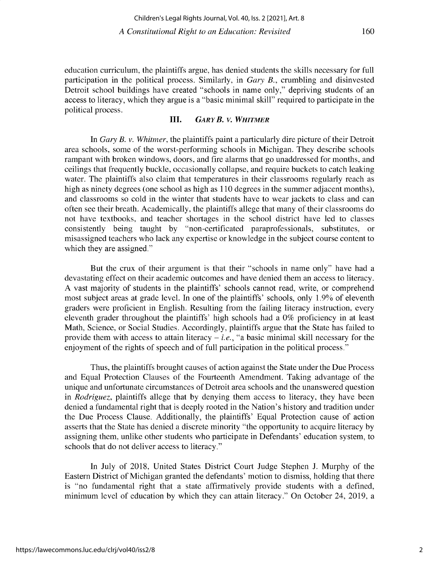160

**education curriculum, the plaintiffs argue, has denied students the skills necessary for full participation in the political process. Similarly, in** *Gary B.,* **crumbling and disinvested Detroit school buildings have created "schools in name only," depriving students of an access to literacy, which they argue is a "basic minimal skill" required to participate in the** political process.

# **III.** *GARY B. v. WHITMER*

In *Gary B. v. Whitmer,* the plaintiffs paint a particularly dire picture of their Detroit **area schools, some of the worst-performing schools in Michigan. They describe schools rampant with broken windows, doors, and fire alarms that go unaddressed for months, and ceilings that frequently buckle, occasionally collapse, and require buckets to catch leaking water. The plaintiffs also claim that temperatures in their classrooms regularly reach as high as ninety degrees (one school as high as 110 degrees in the summer adjacent months), and classrooms so cold in the winter that students have to wear jackets to class and can often see their breath. Academically, the plaintiffs allege that many of their classrooms do** not have textbooks, and teacher shortages in the school district have led to classes **consistently being taught by "non-certificated paraprofessionals, substitutes, or misassigned teachers who lack any expertise or knowledge in the subject course content to which they are assigned."**

**But the crux of their argument is that their "schools in name only" have had a devastating effect on their academic outcomes and have denied them an access to literacy. A vast majority of students in the plaintiffs' schools cannot read, write, or comprehend** most subject areas at grade level. In one of the plaintiffs' schools, only 1.9% of eleventh graders were proficient in English. Resulting from the failing literacy instruction, every eleventh grader throughout the plaintiffs' high schools had a 0% proficiency in at least Math, Science, or Social Studies. Accordingly, plaintiffs argue that the State has failed to provide them with access to attain literacy  $-i.e.,$  "a basic minimal skill necessary for the enjoyment of the rights of speech and of full participation in the political process."

**Thus, the plaintiffs brought causes of action against the State under the Due Process** and Equal Protection Clauses of the Fourteenth Amendment. Taking advantage of the **unique and unfortunate circumstances of Detroit area schools and the unanswered question** in *Rodriguez,* plaintiffs allege that by denying them access to literacy, they have been **denied a fundamental right that is deeply rooted in the Nation's history and tradition under the Due Process Clause. Additionally, the plaintiffs' Equal Protection cause of action asserts that the State has denied a discrete minority "the opportunity to acquire literacy by assigning them, unlike other students who participate in Defendants' education system, to** schools that do not deliver access to literacy."

In July of 2018, United States District Court Judge Stephen J. Murphy of the **Eastern District of Michigan granted the defendants' motion to dismiss, holding that there** is "no fundamental right that a state affirmatively provide students with a defined, minimum level of education by which they can attain literacy." On October 24, 2019, a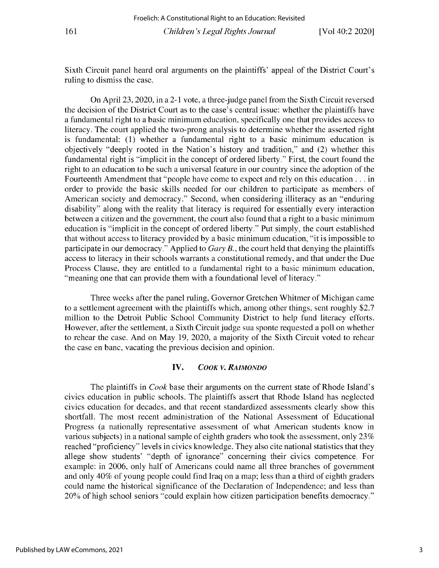Sixth Circuit panel heard oral arguments on the plaintiffs' appeal of the District Court's ruling to dismiss the case.

On April 23, 2020, in a 2-1 vote, a three-judge panel from the Sixth Circuit reversed the decision of the District Court as to the case's central issue: whether the plaintiffs have a fundamental right to a basic minimum education, specifically one that provides access to literacy. The court applied the two-prong analysis to determine whether the asserted right is fundamental: (1) whether a fundamental right to a basic minimum education is objectively "deeply rooted in the Nation's history and tradition," and (2) whether this fundamental right is "implicit in the concept of ordered liberty." First, the court found the right to an education to be such a universal feature in our country since the adoption of the Fourteenth Amendment that "people have come to expect and rely on this education ... in order to provide the basic skills needed for our children to participate as members of American society and democracy." Second, when considering illiteracy as an "enduring disability" along with the reality that literacy is required for essentially every interaction between a citizen and the government, the court also found that a right to a basic minimum education is "implicit in the concept of ordered liberty." Put simply, the court established that without access to literacy provided by a basic minimum education, "it is impossible to participate in our democracy." Applied to *Gary B.,* the court held that denying the plaintiffs access to literacy in their schools warrants a constitutional remedy, and that under the Due Process Clause, they are entitled to a fundamental right to a basic minimum education, "meaning one that can provide them with a foundational level of literacy."

Three weeks after the panel ruling, Governor Gretchen Whitmer of Michigan came to a settlement agreement with the plaintiffs which, among other things, sent roughly \$2.7 million to the Detroit Public School Community District to help fund literacy efforts. However, after the settlement, a Sixth Circuit judge sua sponte requested a poll on whether to rehear the case. And on May 19, 2020, a majority of the Sixth Circuit voted to rehear the case en banc, vacating the previous decision and opinion.

### **IV.** *COOK V. RAIMONDO*

The plaintiffs in *Cook* base their arguments on the current state of Rhode Island's civics education in public schools. The plaintiffs assert that Rhode Island has neglected civics education for decades, and that recent standardized assessments clearly show this shortfall. The most recent administration of the National Assessment of Educational Progress (a nationally representative assessment of what American students know in various subjects) in a national sample of eighth graders who took the assessment, only 23% reached "proficiency" levels in civics knowledge. They also cite national statistics that they allege show students' "depth of ignorance" concerning their civics competence. For example: in 2006, only half of Americans could name all three branches of government and only 40% of young people could find Iraq on a map; less than a third of eighth graders could name the historical significance of the Declaration of Independence; and less than 20% of high school seniors "could explain how citizen participation benefits democracy."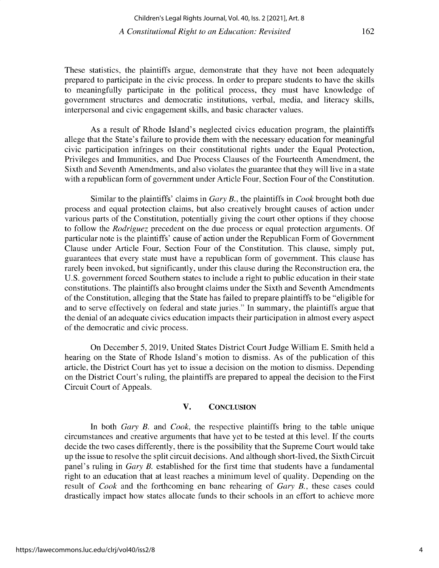These statistics, the plaintiffs argue, demonstrate that they have not been adequately prepared to participate in the civic process. In order to prepare students to have the skills to meaningfully participate in the political process, they must have knowledge of government structures and democratic institutions, verbal, media, and literacy skills, interpersonal and civic engagement skills, and basic character values.

As a result of Rhode Island's neglected civics education program, the plaintiffs allege that the State's failure to provide them with the necessary education for meaningful civic participation infringes on their constitutional rights under the Equal Protection, Privileges and Immunities, and Due Process Clauses of the Fourteenth Amendment, the Sixth and Seventh Amendments, and also violates the guarantee that they will live in a state with a republican form of government under Article Four, Section Four of the Constitution.

Similar to the plaintiffs' claims in *Gary B.,* the plaintiffs in *Cook* brought both due process and equal protection claims, but also creatively brought causes of action under various parts of the Constitution, potentially giving the court other options if they choose to follow the *Rodriguez* precedent on the due process or equal protection arguments. Of particular note is the plaintiffs' cause of action under the Republican Form of Government Clause under Article Four, Section Four of the Constitution. This clause, simply put, guarantees that every state must have a republican form of government. This clause has rarely been invoked, but significantly, under this clause during the Reconstruction era, the U.S. government forced Southern states to include a right to public education in their state constitutions. The plaintiffs also brought claims under the Sixth and Seventh Amendments of the Constitution, alleging that the State has failed to prepare plaintiffs to be "eligible for and to serve effectively on federal and state juries." In summary, the plaintiffs argue that the denial of an adequate civics education impacts their participation in almost every aspect of the democratic and civic process.

On December *5,* 2019, United States District Court Judge William E. Smith held a hearing on the State of Rhode Island's motion to dismiss. As of the publication of this article, the District Court has yet to issue a decision on the motion to dismiss. Depending on the District Court's ruling, the plaintiffs are prepared to appeal the decision to the First Circuit Court of Appeals.

## **V. CONCLUSION**

**In both** *Gary B.* and *Cook,* the respective plaintiffs bring to the table unique circumstances and creative arguments that have yet to be tested at this level. If the courts decide the two cases differently, there is the possibility that the Supreme Court would take up the issue to resolve the split circuit decisions. And although short-lived, the Sixth Circuit panel's ruling in *Gary B.* established for the first time that students have a fundamental right to an education that at least reaches a minimum level of quality. Depending on the result of *Cook* and the forthcoming en banc rehearing of *Gary B.,* these cases could drastically impact how states allocate funds to their schools in an effort to achieve more

162